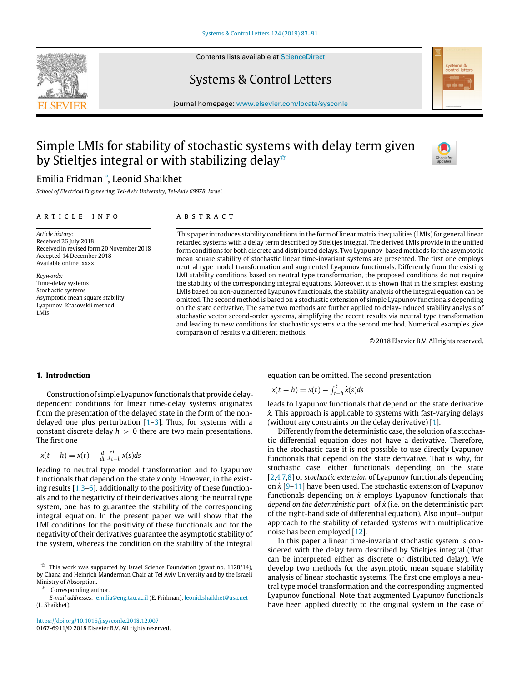

Contents lists available at [ScienceDirect](http://www.elsevier.com/locate/sysconle)

# Systems & Control Letters



journal homepage: [www.elsevier.com/locate/sysconle](http://www.elsevier.com/locate/sysconle)

# Simple LMIs for stability of stochastic systems with delay term given by Stieltjes integral or with stabilizing delay<sup> $\star$ </sup>

# Emilia Fridman [∗](#page-0-1) , Leonid Shaikhet

*School of Electrical Engineering, Tel-Aviv University, Tel-Aviv 69978, Israel*

# ARTICLE INFO

*Article history:* Received 26 July 2018 Received in revised form 20 November 2018 Accepted 14 December 2018 Available online xxxx

*Keywords:* Time-delay systems Stochastic systems Asymptotic mean square stability Lyapunov–Krasovskii method LMIs

# A B S T R A C T

This paper introduces stability conditions in the form of linear matrix inequalities (LMIs) for general linear retarded systems with a delay term described by Stieltjes integral. The derived LMIs provide in the unified form conditions for both discrete and distributed delays. Two Lyapunov-based methods for the asymptotic mean square stability of stochastic linear time-invariant systems are presented. The first one employs neutral type model transformation and augmented Lyapunov functionals. Differently from the existing LMI stability conditions based on neutral type transformation, the proposed conditions do not require the stability of the corresponding integral equations. Moreover, it is shown that in the simplest existing LMIs based on non-augmented Lyapunov functionals, the stability analysis of the integral equation can be omitted. The second method is based on a stochastic extension of simple Lyapunov functionals depending on the state derivative. The same two methods are further applied to delay-induced stability analysis of stochastic vector second-order systems, simplifying the recent results via neutral type transformation and leading to new conditions for stochastic systems via the second method. Numerical examples give comparison of results via different methods.

© 2018 Elsevier B.V. All rights reserved.

#### **1. Introduction**

Construction of simple Lyapunov functionals that provide delaydependent conditions for linear time-delay systems originates from the presentation of the delayed state in the form of the nondelayed one plus perturbation  $[1-3]$  $[1-3]$  $[1-3]$ . Thus, for systems with a constant discrete delay  $h > 0$  there are two main presentations. The first one

$$
x(t-h) = x(t) - \frac{d}{dt} \int_{t-h}^{t} x(s) ds
$$

leading to neutral type model transformation and to Lyapunov functionals that depend on the state *x* only. However, in the existing results  $[1,3-6]$  $[1,3-6]$  $[1,3-6]$ , additionally to the positivity of these functionals and to the negativity of their derivatives along the neutral type system, one has to guarantee the stability of the corresponding integral equation. In the present paper we will show that the LMI conditions for the positivity of these functionals and for the negativity of their derivatives guarantee the asymptotic stability of the system, whereas the condition on the stability of the integral

equation can be omitted. The second presentation

$$
x(t-h) = x(t) - \int_{t-h}^{t} \dot{x}(s)ds
$$

leads to Lyapunov functionals that depend on the state derivative *x*˙. This approach is applicable to systems with fast-varying delays (without any constraints on the delay derivative) [\[1\]](#page-8-0).

Differently from the deterministic case, the solution of a stochastic differential equation does not have a derivative. Therefore, in the stochastic case it is not possible to use directly Lyapunov functionals that depend on the state derivative. That is why, for stochastic case, either functionals depending on the state [\[2](#page-8-3)[,4](#page-8-4),[7,](#page-8-5)[8\]](#page-8-6) or *stochastic extension* of Lyapunov functionals depending on *x*˙ [[9](#page-8-7)[–11\]](#page-8-8) have been used. The stochastic extension of Lyapunov functionals depending on  $\dot{x}$  employs Lyapunov functionals that *depend on the deterministic part* of  $\dot{x}$  (i.e. on the deterministic part of the right-hand side of differential equation). Also input–output approach to the stability of retarded systems with multiplicative noise has been employed [[12](#page-8-9)].

In this paper a linear time-invariant stochastic system is considered with the delay term described by Stieltjes integral (that can be interpreted either as discrete or distributed delay). We develop two methods for the asymptotic mean square stability analysis of linear stochastic systems. The first one employs a neutral type model transformation and the corresponding augmented Lyapunov functional. Note that augmented Lyapunov functionals have been applied directly to the original system in the case of

<span id="page-0-0"></span> $\overrightarrow{x}$  This work was supported by Israel Science Foundation (grant no. 1128/14), by Chana and Heinrich Manderman Chair at Tel Aviv University and by the Israeli Ministry of Absorption.

<span id="page-0-1"></span>Corresponding author.

*E-mail addresses:* [emilia@eng.tau.ac.il](mailto:emilia@eng.tau.ac.il) (E. Fridman), [leonid.shaikhet@usa.net](mailto:leonid.shaikhet@usa.net) (L. Shaikhet).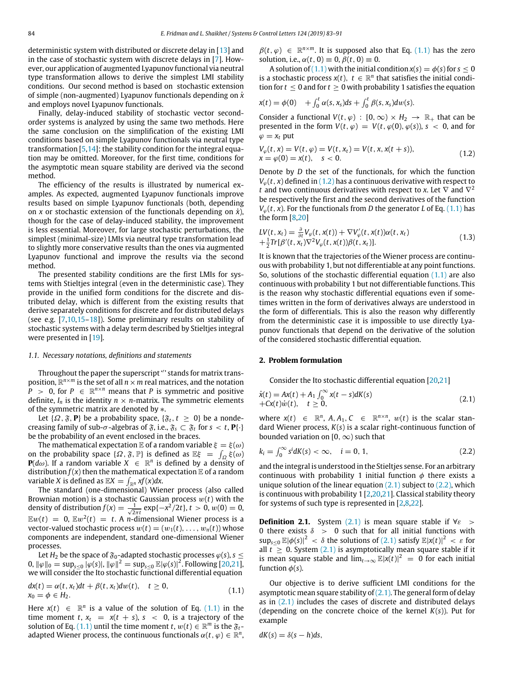deterministic system with distributed or discrete delay in [\[13\]](#page-8-10) and in the case of stochastic system with discrete delays in [\[7\]](#page-8-5). However, our application of augmented Lyapunov functional via neutral type transformation allows to derive the simplest LMI stability conditions. Our second method is based on stochastic extension of simple (non-augmented) Lyapunov functionals depending on *x*˙ and employs novel Lyapunov functionals.

Finally, delay-induced stability of stochastic vector secondorder systems is analyzed by using the same two methods. Here the same conclusion on the simplification of the existing LMI conditions based on simple Lyapunov functionals via neutral type transformation [\[5,](#page-8-11)[14](#page-8-12)]: the stability condition for the integral equation may be omitted. Moreover, for the first time, conditions for the asymptotic mean square stability are derived via the second method.

The efficiency of the results is illustrated by numerical examples. As expected, augmented Lyapunov functionals improve results based on simple Lyapunov functionals (both, depending on *x* or stochastic extension of the functionals depending on  $\dot{x}$ ), though for the case of delay-induced stability, the improvement is less essential. Moreover, for large stochastic perturbations, the simplest (minimal-size) LMIs via neutral type transformation lead to slightly more conservative results than the ones via augmented Lyapunov functional and improve the results via the second method.

The presented stability conditions are the first LMIs for systems with Stieltjes integral (even in the deterministic case). They provide in the unified form conditions for the discrete and distributed delay, which is different from the existing results that derive separately conditions for discrete and for distributed delays (see e.g. [\[7](#page-8-5)[,10,](#page-8-13)[15](#page-8-14)–[18\]](#page-8-15)). Some preliminary results on stability of stochastic systems with a delay term described by Stieltjes integral were presented in [[19](#page-8-16)].

#### *1.1. Necessary notations, definitions and statements*

Throughout the paper the superscript '′ ' stands for matrix transposition, R *<sup>n</sup>*×*<sup>m</sup>* is the set of all *n*×*m* real matrices, and the notation  $\hat{P}$  > 0, for  $P \in \mathbb{R}^{n \times n}$  means that *P* is symmetric and positive definite,  $I_n$  is the identity  $n \times n$ -matrix. The symmetric elements of the symmetric matrix are denoted by ∗.

Let  $\{\Omega, \mathfrak{F}, \mathbf{P}\}\$  be a probability space,  $\{\mathfrak{F}_t, t \geq 0\}$  be a nondecreasing family of sub- $\sigma$ -algebras of  $\mathfrak{F}$ , i.e.,  $\mathfrak{F}_s \subset \mathfrak{F}_t$  for  $s < t$ ,  $\mathbf{P}\{\cdot\}$ be the probability of an event enclosed in the braces.

The mathematical expectation  $\mathbb E$  of a random variable  $\xi = \xi(\omega)$ on the probability space  $\{\Omega, \mathfrak{F}, \mathbb{P}\}$  is defined as  $\mathbb{E}\xi = \int_{\Omega} \xi(\omega)$ **P**( $d\omega$ ). If a random variable  $X \in \mathbb{R}^n$  is defined by a density of distribution  $f(x)$  then the mathematical expectation  $E$  of a random variable *X* is defined as  $\mathbb{E} X = \int_{\mathbb{R}^n} xf(x) dx$ .

The standard (one-dimensional) Wiener process (also called Brownian motion) is a stochastic Gaussian process w(*t*) with the density of distribution  $f(x) = \frac{1}{\sqrt{2\pi t}} \exp\{-x^2/2t\}$ ,  $t > 0$ ,  $w(0) = 0$ ,  $E w(t) = 0$ ,  $E w^2(t) = t$ . A *n*-dimensional Wiener process is a vector-valued stochastic process  $w(t) = (w_1(t), \ldots, w_n(t))$  whose components are independent, standard one-dimensional Wiener processes.

Let *H*<sub>2</sub> be the space of  $\mathfrak{F}_0$ -adapted stochastic processes  $\varphi(s)$ ,  $s \leq$  $0, ||φ||_0 = sup_{s≤0} |\φ(s)|, ||φ||^2 = sup_{s≤0} \mathbb{E} |\φ(s)|^2$ . Following [[20](#page-8-17)[,21\]](#page-8-18), we will consider the Ito stochastic functional differential equation

$$
dx(t) = \alpha(t, x_t)dt + \beta(t, x_t)dw(t), \quad t \ge 0,
$$
  
\n
$$
x_0 = \phi \in H_2.
$$
\n(1.1)

Here  $x(t) \in \mathbb{R}^n$  is a value of the solution of Eq. [\(1.1\)](#page-1-0) in the time moment *t*,  $x_t = x(t + s)$ ,  $s < 0$ , is a trajectory of the solution of Eq. [\(1.1\)](#page-1-0) until the time moment *t*,  $w(t) \in \mathbb{R}^m$  is the  $\mathfrak{F}_t$ adapted Wiener process, the continuous functionals  $\alpha(t, \varphi) \in \mathbb{R}^n$ ,

 $\beta(t, \varphi) \in \mathbb{R}^{n \times m}$ . It is supposed also that Eq. ([1.1](#page-1-0)) has the zero solution, i.e.,  $\alpha(t, 0) \equiv 0$ ,  $\beta(t, 0) \equiv 0$ .

A solution of [\(1.1](#page-1-0)) with the initial condition  $x(s) = \phi(s)$  for  $s < 0$ is a stochastic process  $x(t)$ ,  $t \in \mathbb{R}^n$  that satisfies the initial condition for  $t \leq 0$  and for  $t \geq 0$  with probability 1 satisfies the equation

$$
x(t) = \phi(0) + \int_0^t \alpha(s, x_s) ds + \int_0^t \beta(s, x_s) dw(s).
$$

Consider a functional  $V(t, \varphi) : [0, \infty) \times H_2 \to \mathbb{R}_+$  that can be presented in the form  $V(t, \varphi) = V(t, \varphi(0), \varphi(s))$ ,  $s < 0$ , and for  $\varphi = x_t$  put

<span id="page-1-1"></span>
$$
V_{\varphi}(t, x) = V(t, \varphi) = V(t, x_t) = V(t, x, x(t + s)),
$$
  
\n
$$
x = \varphi(0) = x(t), \quad s < 0.
$$
\n(1.2)

Denote by *D* the set of the functionals, for which the function  $V_{\varphi}(t, x)$  defined in [\(1.2\)](#page-1-1) has a continuous derivative with respect to *t* and two continuous derivatives with respect to *x*. Let  $\nabla$  and  $\nabla^2$ be respectively the first and the second derivatives of the function  $V_{\varphi}(t, x)$ . For the functionals from *D* the generator *L* of Eq. ([1.1](#page-1-0)) has the form [[8,](#page-8-6)[20](#page-8-17)]

$$
LV(t, x_t) = \frac{\partial}{\partial t} V_{\varphi}(t, x(t)) + \nabla V_{\varphi}'(t, x(t)) \alpha(t, x_t)
$$
  
 
$$
+ \frac{1}{2} Tr[\beta'(t, x_t) \nabla^2 V_{\varphi}(t, x(t)) \beta(t, x_t)].
$$
 (1.3)

It is known that the trajectories of the Wiener process are continuous with probability 1, but not differentiable at any point functions. So, solutions of the stochastic differential equation  $(1.1)$  are also continuous with probability 1 but not differentiable functions. This is the reason why stochastic differential equations even if sometimes written in the form of derivatives always are understood in the form of differentials. This is also the reason why differently from the deterministic case it is impossible to use directly Lyapunov functionals that depend on the derivative of the solution of the considered stochastic differential equation.

### **2. Problem formulation**

<span id="page-1-2"></span>Consider the Ito stochastic differential equation [[20](#page-8-17)[,21\]](#page-8-18)

$$
\dot{x}(t) = Ax(t) + A_1 \int_0^\infty x(t - s) dK(s) \n+ Cx(t)\dot{w}(t), \quad t \ge 0,
$$
\n(2.1)

where  $x(t) \in \mathbb{R}^n$ ,  $A, A_1, C \in \mathbb{R}^{n \times n}$ ,  $w(t)$  is the scalar standard Wiener process, *K*(*s*) is a scalar right-continuous function of bounded variation on [0,  $\infty$ ) such that

<span id="page-1-3"></span>
$$
k_i = \int_0^\infty s^i dK(s) < \infty, \quad i = 0, 1,\tag{2.2}
$$

and the integral is understood in the Stieltjes sense. For an arbitrary continuous with probability 1 initial function  $\phi$  there exists a unique solution of the linear equation  $(2.1)$  subject to  $(2.2)$  $(2.2)$ , which is continuous with probability  $1$   $[2,20,21]$  $[2,20,21]$  $[2,20,21]$  $[2,20,21]$ . Classical stability theory for systems of such type is represented in [[2](#page-8-3)[,8](#page-8-6)[,22\]](#page-8-19).

**Definition 2.1.** System  $(2.1)$  $(2.1)$  is mean square stable if  $\forall \varepsilon$  > 0 there exists  $\delta$  > 0 such that for all initial functions with  $\sup_{s\leq 0}$   $\mathbb{E}|\phi(s)|^2 < \delta$  the solutions of [\(2.1\)](#page-1-2) satisfy  $\mathbb{E}|x(t)|^2 < \varepsilon$  for all  $t \geq 0$ . System ([2.1\)](#page-1-2) is asymptotically mean square stable if it is mean square stable and  $\lim_{t\to\infty}$   $\mathbb{E}|x(t)|^2 = 0$  for each initial function  $\phi(s)$ .

<span id="page-1-0"></span>Our objective is to derive sufficient LMI conditions for the asymptotic mean square stability of  $(2.1)$  $(2.1)$  $(2.1)$ . The general form of delay as in  $(2.1)$  includes the cases of discrete and distributed delays (depending on the concrete choice of the kernel *K*(*s*)). Put for example

$$
dK(s) = \delta(s - h)ds,
$$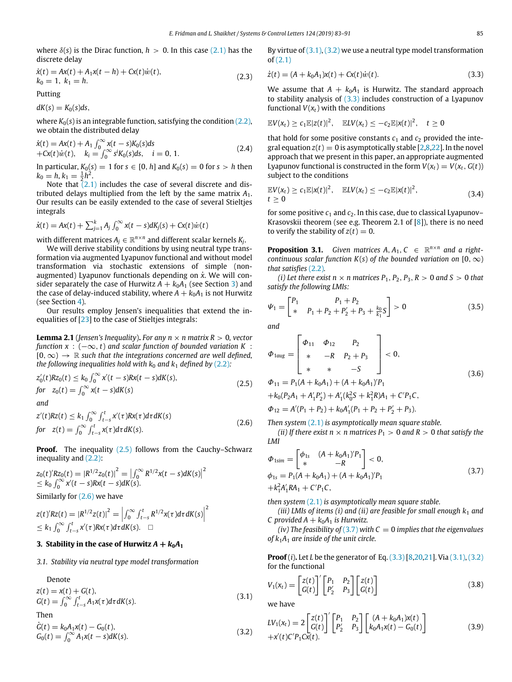where  $\delta(s)$  is the Dirac function,  $h > 0$ . In this case [\(2.1\)](#page-1-2) has the discrete delay

$$
\dot{x}(t) = Ax(t) + A_1x(t - h) + Cx(t)\dot{w}(t), \nk_0 = 1, k_1 = h.
$$
\n(2.3)

Putting

 $dK(s) = K_0(s)ds$ 

where  $K_0(s)$  is an integrable function, satisfying the condition  $(2.2)$ , we obtain the distributed delay

$$
\dot{x}(t) = Ax(t) + A_1 \int_0^\infty x(t-s)K_0(s)ds \n+Cx(t)\dot{w}(t), \quad k_i = \int_0^\infty s^i K_0(s)ds, \quad i = 0, 1.
$$
\n(2.4)

In particular,  $K_0(s) = 1$  for  $s \in [0, h]$  and  $K_0(s) = 0$  for  $s > h$  then  $k_0 = h, k_1 = \frac{1}{2}h^2.$ 

Note that  $(2.1)$  $(2.1)$  includes the case of several discrete and distributed delays multiplied from the left by the same matrix *A*1. Our results can be easily extended to the case of several Stieltjes integrals

$$
\dot{x}(t) = Ax(t) + \sum_{j=1}^{k} A_j \int_0^{\infty} x(t-s) dK_j(s) + Cx(t)\dot{w}(t)
$$

with different matrices  $A_j \in \mathbb{R}^{n \times n}$  and different scalar kernels  $K_j$ .

We will derive stability conditions by using neutral type transformation via augmented Lyapunov functional and without model transformation via stochastic extensions of simple (nonaugmented) Lyapunov functionals depending on  $\dot{x}$ . We will consider separately the case of Hurwitz  $A + k_0A_1$  (see Section [3\)](#page-2-0) and the case of delay-induced stability, where  $A + k_0A_1$  is not Hurwitz (see Section [4\)](#page-5-0).

Our results employ Jensen's inequalities that extend the inequalities of [\[23\]](#page-8-20) to the case of Stieltjes integrals:

**Lemma 2.1** (*Jensen's Inequality*). *For any n*  $\times$  *n matrix R*  $> 0$ *, vector function x* : (−∞, *t*) *and scalar function of bounded variation K* : [0,∞) → R *such that the integrations concerned are well defined, the following inequalities hold with*  $k_0$  *and*  $k_1$  *defined by [\(2.2\)](#page-1-3):* 

$$
z'_{0}(t)Rz_{0}(t) \le k_{0} \int_{0}^{\infty} x'(t-s)Rx(t-s)dK(s),
$$
  
for  $z_{0}(t) = \int_{0}^{\infty} x(t-s)dK(s)$  (2.5)  
and

$$
z'(t)Rz(t) \le k_1 \int_0^\infty \int_{t-s}^t x'(\tau)Rx(\tau)d\tau dK(s)
$$
  
for  $z(t) = \int_0^\infty \int_{t-s}^t x(\tau)d\tau dK(s)$ . (2.6)

**Proof.** The inequality ([2.5](#page-2-1)) follows from the Cauchy–Schwarz inequality and ([2.2](#page-1-3)):

$$
z_0(t)'Rz_0(t) = |R^{1/2}z_0(t)|^2 = \left|\int_0^\infty R^{1/2}x(t-s)dK(s)\right|^2
$$
  
\n $\leq k_0 \int_0^\infty x'(t-s)Rx(t-s)dK(s).$   
\nSimilarly for (2.6) we have

$$
z(t)'Rz(t) = |R^{1/2}z(t)|^{2} = \left|\int_{0}^{\infty} \int_{t-s}^{t} R^{1/2}x(\tau)d\tau dK(s)\right|^{2}
$$
  
 
$$
\leq k_{1} \int_{0}^{\infty} \int_{t-s}^{t} x'(\tau)Rx(\tau)d\tau dK(s). \quad \Box
$$

### **3. Stability in the case of Hurwitz**  $A + k_0A_1$

#### <span id="page-2-0"></span>*3.1. Stability via neutral type model transformation*

Denote

$$
z(t) = x(t) + G(t),
$$
  
\n
$$
G(t) = \int_0^\infty \int_{t-s}^t A_1 x(\tau) d\tau dK(s).
$$
\n(3.1)

Then

$$
\dot{G}(t) = k_0 A_1 x(t) - G_0(t), G_0(t) = \int_0^\infty A_1 x(t - s) dK(s).
$$
\n(3.2)

By virtue of  $(3.1)$  $(3.1)$  $(3.1)$ ,  $(3.2)$  $(3.2)$  $(3.2)$  we use a neutral type model transformation of [\(2.1\)](#page-1-2)

<span id="page-2-12"></span>
$$
\dot{z}(t) = (A + k_0 A_1) x(t) + C x(t) \dot{w}(t).
$$
\n(3.3)

<span id="page-2-5"></span>We assume that  $A + k_0A_1$  is Hurwitz. The standard approach to stability analysis of ([3.3](#page-2-5)) includes construction of a Lyapunov functional  $V(x_t)$  with the conditions

$$
\mathbb{E}V(x_t) \geq c_1 \mathbb{E}|z(t)|^2, \quad \mathbb{E}LV(x_t) \leq -c_2 \mathbb{E}|x(t)|^2, \quad t \geq 0
$$

<span id="page-2-13"></span>that hold for some positive constants  $c_1$  and  $c_2$  provided the integral equation  $z(t) = 0$  is asymptotically stable [[2,](#page-8-3)[8](#page-8-6)[,22\]](#page-8-19). In the novel approach that we present in this paper, an appropriate augmented Lyapunov functional is constructed in the form  $V(x_t) = V(x_t, G(t))$ subject to the conditions

<span id="page-2-9"></span>
$$
\mathbb{E}V(x_t) \geq c_1 \mathbb{E}|x(t)|^2, \quad \mathbb{E}LV(x_t) \leq -c_2 \mathbb{E}|x(t)|^2, t \geq 0
$$
\n(3.4)

for some positive  $c_1$  and  $c_2$ . In this case, due to classical Lyapunov-Krasovskii theorem (see e.g. Theorem 2.1 of  $[8]$ ), there is no need to verify the stability of  $z(t) = 0$ .

<span id="page-2-11"></span>**Proposition 3.1.** Given matrices  $A, A_1, C \in \mathbb{R}^{n \times n}$  and a right*continuous scalar function K(s) of the bounded variation on*  $[0, \infty)$ *that satisfies* [\(2.2\)](#page-1-3)*.*

*(i)* Let there exist  $n \times n$  matrices  $P_1$ ,  $P_2$ ,  $P_3$ ,  $R > 0$  and  $S > 0$  that *satisfy the following LMIs:*

<span id="page-2-10"></span>
$$
\Psi_1 = \begin{bmatrix} P_1 & P_1 + P_2 \\ * & P_1 + P_2 + P_2' + P_3 + \frac{k_0}{k_1} S \end{bmatrix} > 0 \tag{3.5}
$$

*and*

<span id="page-2-8"></span>
$$
\Phi_{1aug} = \begin{bmatrix} \Phi_{11} & \Phi_{12} & P_2 \\ * & -R & P_2 + P_3 \\ * & * & -S \end{bmatrix} < 0,
$$
  
\n
$$
\Phi_{11} = P_1(A + k_0 A_1) + (A + k_0 A_1)'P_1
$$
  
\n
$$
+ k_0 (P_2 A_1 + A'_1 P'_2) + A'_1 (k_0^2 S + k_1^2 R) A_1 + C' P_1 C,
$$
  
\n
$$
\Phi_{12} = A'(P_1 + P_2) + k_0 A'_1 (P_1 + P_2 + P'_2 + P_3).
$$
\n(3.6)

<span id="page-2-2"></span><span id="page-2-1"></span>*Then system* ([2.1](#page-1-2)) *is asymptotically mean square stable.*

*(ii) If there exist n*  $\times$  *n matrices*  $P_1 > 0$  *and*  $R > 0$  *that satisfy the LMI*

<span id="page-2-6"></span>
$$
\Phi_{1\text{sim}} = \begin{bmatrix} \phi_{1\text{s}} & (A + k_0 A_1)' P_1 \\ * & -R \end{bmatrix} < 0, \\
\phi_{1\text{s}} = P_1 (A + k_0 A_1) + (A + k_0 A_1)' P_1 \\
+ k_1^2 A_1' R A_1 + C' P_1 C,
$$
\n
$$
(3.7)
$$

*then system* [\(2.1\)](#page-1-2) *is asymptotically mean square stable.*

*(iii) LMIs of items (i) and (ii) are feasible for small enough k*<sup>1</sup> *and C* provided  $A + k_0A_1$  *is Hurwitz.* 

 $(iv)$  The feasibility of  $(3.7)$  with  $C = 0$  *implies that the eigenvalues of k*1*A*<sup>1</sup> *are inside of the unit circle.*

**Proof** (*i*)**.** Let *L* be the generator of Eq. [\(3.3\)](#page-2-5) [\[8](#page-8-6)[,20,](#page-8-17)[21](#page-8-18)]. Via ([3.1](#page-2-3)), ([3.2\)](#page-2-4) for the functional

<span id="page-2-14"></span>
$$
V_1(x_t) = \begin{bmatrix} z(t) \\ G(t) \end{bmatrix}^{\prime} \begin{bmatrix} P_1 & P_2 \\ P_2^{\prime} & P_3 \end{bmatrix} \begin{bmatrix} z(t) \\ G(t) \end{bmatrix} \tag{3.8}
$$

<span id="page-2-7"></span><span id="page-2-3"></span>we have

<span id="page-2-4"></span>
$$
LV_1(x_t) = 2\begin{bmatrix} z(t) \\ G(t) \end{bmatrix}' \begin{bmatrix} P_1 & P_2 \\ P'_2 & P_3 \end{bmatrix} \begin{bmatrix} (A + k_0 A_1)x(t) \\ k_0 A_1x(t) - G_0(t) \end{bmatrix}
$$
  
+ $x'(t)C'P_1Cx(t)$ . (3.9)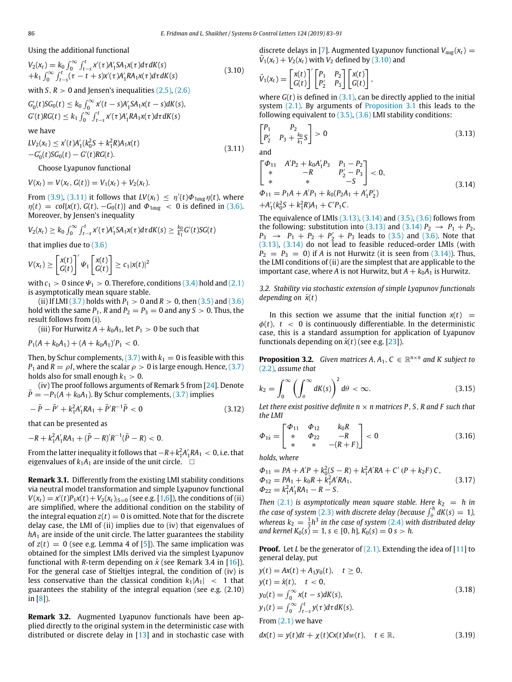Using the additional functional

$$
V_2(x_t) = k_0 \int_0^\infty \int_{t-s}^t x'(\tau) A_1' S A_1 x(\tau) d\tau dK(s)
$$
  
+ $k_1 \int_0^\infty \int_{t-s}^t (\tau - t + s) x'(\tau) A_1' R A_1 x(\tau) d\tau dK(s)$  (3.10)

with  $S, R > 0$  and Jensen's inequalities  $(2.5)$  $(2.5)$  $(2.5)$ ,  $(2.6)$  $(2.6)$  $(2.6)$ 

 $G'_0(t)SG_0(t) \le k_0 \int_0^\infty x'(t-s)A'_1SA_1x(t-s)dK(s),$  $G'(t)RG(t) \leq k_1 \int_0^\infty \int_{t-s}^t x'(\tau)A'_1RA_1x(\tau)d\tau dK(s)$ 

we have

 $LV_2(x_t) \le x'(t)A'_1(k_0^2S + k_1^2R)A_1x(t)$  $-G'_0(t)SG_0(t) - G'(t)RG(t).$ (3.11)

Choose Lyapunov functional

 $V(x_t) = V(x_t, G(t)) = V_1(x_t) + V_2(x_t).$ 

From ([3.9](#page-2-7)), [\(3.11\)](#page-3-0) it follows that  $LV(x_t) \leq \eta'(t)\Phi_{1aug}\eta(t)$ , where  $\eta(t) = \text{col}\{x(t), G(t), -G_0(t)\}\$ and  $\Phi_{1 \text{aug}} < 0$  is defined in [\(3.6\)](#page-2-8). Moreover, by Jensen's inequality

$$
V_2(x_t) \geq k_0 \int_0^{\infty} \int_{t-s}^t x'(\tau) A'_1 SA_1 x(\tau) d\tau dK(s) \geq \frac{k_0}{k_1} G'(t) SG(t)
$$

that implies due to ([3.6](#page-2-8))

$$
V(x_t) \geq \begin{bmatrix} x(t) \\ G(t) \end{bmatrix}^{\prime} \Psi_1 \begin{bmatrix} x(t) \\ G(t) \end{bmatrix} \geq c_1 |x(t)|^2
$$

with  $c_1 > 0$  since  $\Psi_1 > 0$ . Therefore, conditions ([3.4](#page-2-9)) hold and [\(2.1\)](#page-1-2) is asymptotically mean square stable.

(ii) If LMI ([3.7](#page-2-6)) holds with  $P_1 > 0$  and  $R > 0$ , then ([3.5](#page-2-10)) and [\(3.6\)](#page-2-8) hold with the same  $P_1$ ,  $R$  and  $P_2 = P_3 = 0$  and any  $S > 0$ . Thus, the result follows from (i).

(iii) For Hurwitz  $A + k_0 A_1$ , let  $P_1 > 0$  be such that

$$
P_1(A + k_0 A_1) + (A + k_0 A_1)'P_1 < 0.
$$

Then, by Schur complements,  $(3.7)$  $(3.7)$  with  $k_1 = 0$  is feasible with this *P*<sub>1</sub> and *R* =  $\rho$ *I*, where the scalar  $\rho > 0$  is large enough. Hence, [\(3.7\)](#page-2-6) holds also for small enough  $k_1 > 0$ .

(iv) The proof follows arguments of Remark 5 from [\[24\]](#page-8-21). Denote  $\overline{P} = -P_1(A + k_0A_1)$ . By Schur complements, [\(3.7\)](#page-2-6) implies

$$
-\bar{P} - \bar{P}' + k_1^2 A_1' R A_1 + \bar{P}' R^{-1} \bar{P} < 0 \tag{3.12}
$$

that can be presented as

$$
-R + k_1^2 A_1' R A_1 + (\bar{P} - R)' R^{-1} (\bar{P} - R) < 0.
$$

From the latter inequality it follows that  $-R + k_1^2 A_1'RA_1 < 0$ , i.e. that eigenvalues of  $k_1A_1$  are inside of the unit circle.  $\Box$ 

**Remark 3.1.** Differently from the existing LMI stability conditions via neutral model transformation and simple Lyapunov functional  $V(x_t) = x'(t)P_1x(t) + V_2(x_t)_{|S=0}$  (see e.g. [[1,](#page-8-0)[6](#page-8-2)]), the conditions of (ii) are simplified, where the additional condition on the stability of the integral equation  $z(t) = 0$  is omitted. Note that for the discrete delay case, the LMI of (ii) implies due to (iv) that eigenvalues of  $hA_1$  are inside of the unit circle. The latter guarantees the stability of  $z(t) = 0$  (see e.g. Lemma 4 of [[5\]](#page-8-11)). The same implication was obtained for the simplest LMIs derived via the simplest Lyapunov functional with *R*-term depending on *x*˙ (see Remark 3.4 in [\[16\]](#page-8-22)). For the general case of Stieltjes integral, the condition of (iv) is less conservative than the classical condition  $k_1|A_1| \leq 1$  that guarantees the stability of the integral equation (see e.g. (2.10) in [\[8](#page-8-6)]).

**Remark 3.2.** Augmented Lyapunov functionals have been applied directly to the original system in the deterministic case with distributed or discrete delay in [[13\]](#page-8-10) and in stochastic case with discrete delays in [[7\]](#page-8-5). Augmented Lyapunov functional  $V_{\text{gug}}(x_t)$  =  $\overline{V}_1(x_t) + V_2(x_t)$  with  $V_2$  defined by ([3.10](#page-3-1)) and

<span id="page-3-1"></span>
$$
\bar{V}_1(x_t) = \begin{bmatrix} x(t) \\ G(t) \end{bmatrix}^\prime \begin{bmatrix} P_1 & P_2 \\ P_2^\prime & P_3 \end{bmatrix} \begin{bmatrix} x(t) \\ G(t) \end{bmatrix},
$$

where  $G(t)$  is defined in  $(3.1)$  $(3.1)$  $(3.1)$ , can be directly applied to the initial system [\(2.1](#page-1-2)). By arguments of [Proposition](#page-2-11) [3.1](#page-2-11) this leads to the following equivalent to  $(3.5)$ ,  $(3.6)$  LMI stability conditions:

<span id="page-3-2"></span>
$$
\begin{bmatrix} P_1 & P_2 \\ P_2' & P_3 + \frac{k_0}{k_1} S \end{bmatrix} > 0 \tag{3.13}
$$

<span id="page-3-0"></span>and

<span id="page-3-3"></span>
$$
\begin{bmatrix}\n\Phi_{11} & A'P_2 + k_0A'_1P_3 & P_1 - P_2 \\
* & -R & P'_2 - P_3 \\
* & * & -S\n\end{bmatrix} < 0,
$$
\n
$$
\Phi_{11} = P_1A + A'P_1 + k_0(P_2A_1 + A'_1P'_2)
$$
\n
$$
+A'_1(k_0^2S + k_1^2R)A_1 + C'P_1C.
$$
\n(3.14)

The equivalence of LMIs  $(3.13)$ ,  $(3.14)$  $(3.14)$  $(3.14)$  and  $(3.5)$  $(3.5)$  $(3.5)$ ,  $(3.6)$  $(3.6)$  follows from the following: substitution into [\(3.13](#page-3-2)) and [\(3.14\)](#page-3-3)  $P_2 \rightarrow P_1 + P_2$ ,  $P_3 \rightarrow P_1 + P_2 + P'_2 + P_3$  leads to [\(3.5\)](#page-2-10) and ([3.6](#page-2-8)). Note that ([3.13](#page-3-2)), [\(3.14](#page-3-3)) do not lead to feasible reduced-order LMIs (with  $P_2 = P_3 = 0$ ) if *A* is not Hurwitz (it is seen from  $(3.14)$  $(3.14)$ ). Thus, the LMI conditions of (ii) are the simplest that are applicable to the important case, where *A* is not Hurwitz, but  $A + k_0 A_1$  is Hurwitz.

*3.2. Stability via stochastic extension of simple Lyapunov functionals depending on*  $\dot{x}(t)$ 

In this section we assume that the initial function  $x(t)$  =  $\phi(t)$ ,  $t < 0$  is continuously differentiable. In the deterministic case, this is a standard assumption for application of Lyapunov functionals depending on  $\dot{x}(t)$  (see e.g. [[23\]](#page-8-20)).

<span id="page-3-7"></span>**Proposition 3.2.** *Given matrices A, A<sub>1</sub>,*  $C \in \mathbb{R}^{n \times n}$  *and K subject to* ([2.2](#page-1-3))*, assume that*

<span id="page-3-6"></span>
$$
k_2 = \int_0^\infty \left(\int_\theta^\infty dK(s)\right)^2 d\theta < \infty. \tag{3.15}
$$

*Let there exist positive definite*  $n \times n$  *matrices P, S, R and F such that the LMI*

$$
\Phi_{1x} = \begin{bmatrix} \Phi_{11} & \Phi_{12} & k_0 R \\ * & \Phi_{22} & -R \\ * & * & -(R+F) \end{bmatrix} < 0
$$
\n(3.16)

*holds, where*

$$
\Phi_{11} = PA + A'P + k_0^2(S - R) + k_1^2 A'RA + C'(P + k_2 F) C,\n\Phi_{12} = PA_1 + k_0 R + k_1^2 A' RA_1,\n\Phi_{22} = k_1^2 A'_1 RA_1 - R - S.
$$
\n(3.17)

*Then* ([2.1\)](#page-1-2) *is asymptotically mean square stable. Here*  $k_2 = h$  *in the case of system* ([2.3](#page-2-12)) *with discrete delay (because*  $\int_{\theta}^{h} dK(s) = 1$ ), *whereas*  $k_2 = \frac{1}{3}h^3$  *in the case of system* ([2.4](#page-2-13)) *with distributed delay and kernel*  $K_0(s) = 1, s \in [0, h]$ ,  $K_0(s) = 0$  *s* > *h.* 

**Proof.** Let *L* be the generator of [\(2.1\)](#page-1-2). Extending the idea of [\[11](#page-8-8)] to general delay, put

<span id="page-3-5"></span>
$$
y(t) = Ax(t) + A_1y_0(t), \quad t \ge 0,
$$
  
\n
$$
y(t) = \dot{x}(t), \quad t < 0,
$$
  
\n
$$
y_0(t) = \int_0^\infty x(t - s) dK(s),
$$
  
\n
$$
y_1(t) = \int_0^\infty \int_{t-s}^t y(\tau) d\tau dK(s).
$$
  
\nFrom (2.1) we have

<span id="page-3-4"></span>
$$
dx(t) = y(t)dt + \chi(t)Cx(t)dw(t), \quad t \in \mathbb{R},
$$
\n(3.19)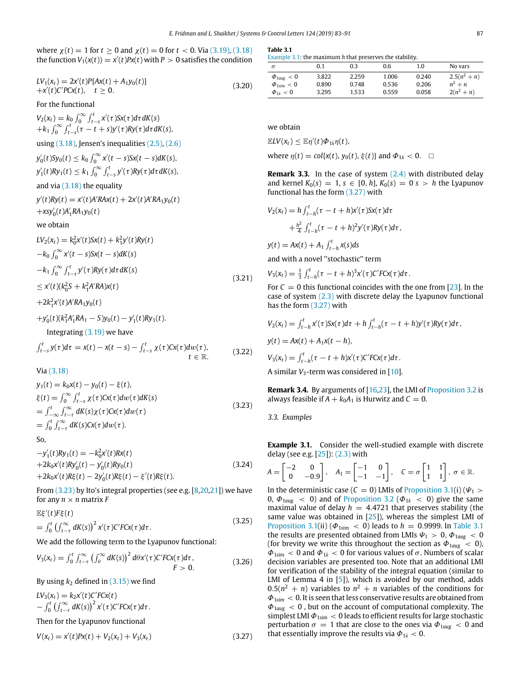where  $\chi(t) = 1$  for  $t > 0$  and  $\chi(t) = 0$  for  $t < 0$ . Via ([3.19](#page-3-4)), [\(3.18\)](#page-3-5) the function  $V_1(x(t)) = x'(t)Px(t)$  with  $P > 0$  satisfies the condition

$$
LV_1(x_t) = 2x'(t)P[Ax(t) + A_1y_0(t)]
$$
  
+x'(t)C'PCx(t), t \ge 0. (3.20)

For the functional

 $V_2(x_t) = k_0 \int_0^\infty \int_{t-s}^t x'(\tau) S x(\tau) d\tau dK(s)$  $+k_1 \int_0^\infty \int_{t-s}^t (\tau - t + s) y'(\tau) R y(\tau) d\tau dK(s),$ 

using  $(3.18)$ , Jensen's inequalities  $(2.5)$ ,  $(2.6)$  $(2.6)$  $(2.6)$ 

 $y'_{0}(t)Sy_{0}(t) \leq k_{0} \int_{0}^{\infty} x'(t-s)Sx(t-s)dK(s),$  $y'_1(t)Ry_1(t) \leq k_1 \int_0^\infty \int_{t-s}^t y'(\tau)Ry(\tau)d\tau dK(s),$ 

# and via  $(3.18)$  the equality

$$
y'(t)Ry(t) = x'(t)A'RAx(t) + 2x'(t)A'RA_1y_0(t)
$$
  
+ $xsy'_0(t)A'_1RA_1y_0(t)$ 

#### we obtain

$$
LV_2(x_t) = k_0^2 x'(t)Sx(t) + k_1^2 y'(t)Ry(t)
$$
  
\n
$$
-k_0 \int_0^\infty x'(t-s)Sx(t-s)dK(s)
$$
  
\n
$$
-k_1 \int_0^\infty \int_{t-s}^t y'(\tau)Ry(\tau)d\tau dK(s)
$$
  
\n
$$
\leq x'(t)(k_0^2 S + k_1^2 A'RA)x(t)
$$
\n(3.21)

 $+2k_1^2x'(t)A'RA_1y_0(t)$ 

$$
+y'_{0}(t)(k_{1}^{2}A'_{1}RA_{1} - S)y_{0}(t) - y'_{1}(t)Ry_{1}(t).
$$
  
Integrating (3.19) we have  

$$
\int_{t-s}^{t} y(\tau)d\tau = x(t) - x(t-s) - \int_{t-s}^{t} \chi(\tau)Cx(\tau)d\omega(\tau),
$$
 $t \in \mathbb{R}.$  (3.22)

Via ([3.18](#page-3-5))

$$
y_1(t) = k_0 x(t) - y_0(t) - \xi(t),
$$
  
\n
$$
\xi(t) = \int_0^\infty \int_{t-s}^t \chi(\tau) C x(\tau) d\omega(\tau) dK(s)
$$
  
\n
$$
= \int_{-\infty}^t \int_{t-\tau}^\infty dK(s) \chi(\tau) C x(\tau) d\omega(\tau)
$$
  
\n
$$
= \int_0^t \int_{t-\tau}^\infty dK(s) C x(\tau) d\omega(\tau).
$$
\n(3.23)

So,

$$
-y'_{1}(t)Ry_{1}(t) = -k_{0}^{2}x'(t)Rx(t)
$$
  
+2k\_{0}x'(t)Ry'\_{0}(t) - y'\_{0}(t)Ry\_{0}(t)  
+2k\_{0}x'(t)R\xi(t) - 2y'\_{0}(t)R\xi(t) - \xi'(t)R\xi(t).\n(3.24)

From ([3.23\)](#page-4-0) by Ito's integral properties (see e.g. [\[8,](#page-8-6)[20](#page-8-17)[,21\]](#page-8-18)) we have for any  $n \times n$  matrix  $F$ 

$$
\mathbb{E}\xi'(t)F\xi(t)
$$
  
=  $\int_0^t \left(\int_{t-\tau}^\infty dK(s)\right)^2 x'(\tau) C' F C x(\tau) d\tau.$  (3.25)

We add the following term to the Lyapunov functional:

$$
V_3(x_t) = \int_0^t \int_{t-\tau}^{\infty} \left( \int_{\theta}^{\infty} dK(s) \right)^2 d\theta x'(\tau) C' F C x(\tau) d\tau, F > 0.
$$
 (3.26)

By using  $k_2$  defined in  $(3.15)$  $(3.15)$  $(3.15)$  we find

$$
LV_3(x_t) = k_2x'(t)C'FCx(t)
$$
  
-  $\int_0^t \left(\int_{t-\tau}^{\infty} dK(s)\right)^2 x'(\tau)C'FCx(\tau) d\tau$ .  
Then for the Lyapunov functional  

$$
V(x_t) = x'(t)Px(t) + V_2(x_t) + V_3(x_t)
$$
 (3.27)

<span id="page-4-3"></span>

| Table | I |
|-------|---|
|       |   |

[Example](#page-4-1) [3.1:](#page-4-1) the maximum *h* that preserves the stability.

| $\sigma$                 | 0.1   | 0.3   | 0.6   | 1.0   | No vars        |
|--------------------------|-------|-------|-------|-------|----------------|
| $\Phi_{1a\mu\sigma} < 0$ | 3.822 | 2.259 | 1.006 | 0.240 | $2.5(n^2 + n)$ |
| $\Phi_{1\text{sim}} < 0$ | 0.890 | 0.748 | 0.536 | 0.206 | $n^2 + n$      |
| $\Phi_{1i} < 0$          | 3.295 | 1.533 | 0.559 | 0.058 | $2(n^2 + n)$   |

we obtain

 $\mathbb{E}LV(x_t) \leq \mathbb{E}\eta'(t)\Phi_{1\dot{x}}\eta(t),$ 

where  $\eta(t) = \text{col}\{x(t), y_0(t), \xi(t)\}$  and  $\Phi_{1\dot{x}} < 0$ .  $\Box$ 

**Remark 3.3.** In the case of system [\(2.4\)](#page-2-13) with distributed delay and kernel  $K_0(s) = 1$ ,  $s \in [0, h]$ ,  $K_0(s) = 0$   $s > h$  the Lyapunov functional has the form ([3.27](#page-4-2)) with

$$
V_2(x_t) = h \int_{t-h}^t (\tau - t + h)x'(\tau)Sx(\tau)d\tau
$$
  
+ 
$$
\frac{h^2}{4} \int_{t-h}^t (\tau - t + h)^2 y'(\tau)Ry(\tau)d\tau,
$$

 $y(t) = Ax(t) + A_1 \int_{t-h}^{t} x(s) ds$ 

and with a novel ''stochastic'' term

$$
V_3(x_t) = \frac{1}{3} \int_{t-h}^t (\tau - t + h)^3 x'(\tau) C' F C x(\tau) d\tau.
$$

For  $C = 0$  this functional coincides with the one from [\[23\]](#page-8-20). In the case of system ([2.3](#page-2-12)) with discrete delay the Lyapunov functional has the form ([3.27](#page-4-2)) with

$$
V_2(x_t) = \int_{t-h}^t x'(\tau) S x(\tau) d\tau + h \int_{t-h}^t (\tau - t + h) y'(\tau) R y(\tau) d\tau,
$$

 $y(t) = Ax(t) + A_1x(t - h),$ 

$$
V_3(x_t) = \int_{t-h}^t (\tau - t + h)x'(\tau)C'FCx(\tau)d\tau.
$$

A similar *V*<sub>3</sub>-term was considered in [\[10\]](#page-8-13).

<span id="page-4-0"></span>**Remark 3.4.** By arguments of [\[16,](#page-8-22)[23](#page-8-20)], the LMI of [Proposition](#page-3-7) [3.2](#page-3-7) is always feasible if  $A + k_0 A_1$  is Hurwitz and  $C = 0$ .

*3.3. Examples*

<span id="page-4-1"></span>**Example 3.1.** Consider the well-studied example with discrete delay (see e.g. [[25](#page-8-23)]): [\(2.3\)](#page-2-12) with

$$
A = \begin{bmatrix} -2 & 0 \\ 0 & -0.9 \end{bmatrix}, A_1 = \begin{bmatrix} -1 & 0 \\ -1 & -1 \end{bmatrix}, C = \sigma \begin{bmatrix} 1 & 1 \\ 1 & 1 \end{bmatrix}, \sigma \in \mathbb{R}.
$$

<span id="page-4-4"></span><span id="page-4-2"></span>In the deterministic case ( $C = 0$ ) LMIs of [Proposition](#page-2-11) [3.1](#page-2-11)(i) ( $\Psi_1$  > 0,  $\Phi_{1aug}$  < 0) and of [Proposition](#page-3-7) [3.2](#page-3-7) ( $\Phi_{1x}$  < 0) give the same maximal value of delay  $h = 4.4721$  that preserves stability (the same value was obtained in  $[25]$  $[25]$  $[25]$ ), whereas the simplest LMI of [Proposition](#page-2-11) [3.1\(](#page-2-11)ii) ( $\Phi_{1sim}$  < 0) leads to *h* = 0.9999. In [Table](#page-4-3) [3.1](#page-4-3) the results are presented obtained from LMIs  $\Psi_1 > 0$ ,  $\Phi_{1aug} < 0$ (for brevity we write this throughout the section as  $\Phi_{1aug} < 0$ ),  $\Phi_{1\text{sim}}$  < 0 and  $\Phi_{1\text{X}}$  < 0 for various values of  $\sigma$ . Numbers of scalar decision variables are presented too. Note that an additional LMI for verification of the stability of the integral equation (similar to LMI of Lemma 4 in [[5\]](#page-8-11)), which is avoided by our method, adds  $0.5(n^2 + n)$  variables to  $n^2 + n$  variables of the conditions for Φ1*sim* < 0. It is seen that less conservative results are obtained from Φ1*aug* < 0 , but on the account of computational complexity. The simplest LMI  $\Phi_{1\text{sim}} < 0$  leads to efficient results for large stochastic perturbation  $\sigma = 1$  that are close to the ones via  $\Phi_{1 \text{aug}} < 0$  and that essentially improve the results via  $\Phi_{1x}$  < 0.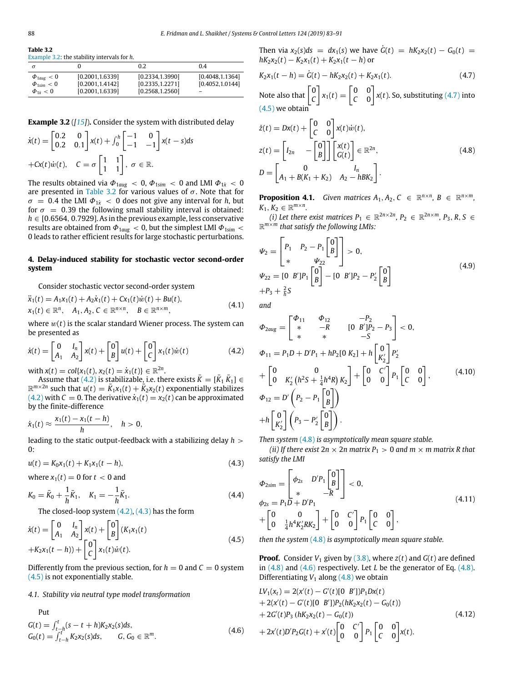<span id="page-5-1"></span>**Table 3.2** [Example](#page-4-4) [3.2](#page-4-4): the stability intervals for *h*.

|                          |                  | 0.2              | 0.4                      |
|--------------------------|------------------|------------------|--------------------------|
| $\Phi_{1a\mu\sigma} < 0$ | [0.2001, 1.6339] | [0.2334, 1.3990] | [0.4048, 1.1364]         |
| $\Phi_{1\text{sim}} < 0$ | [0.2001, 1.4142] | [0.2335, 1.2271] | [0.4052, 1.0144]         |
| $\Phi_{1i} < 0$          | [0.2001, 1.6339] | [0.2568, 1.2560] | $\overline{\phantom{m}}$ |

**Example 3.2** (*[\[15](#page-8-14)]*)**.** Consider the system with distributed delay

$$
\dot{x}(t) = \begin{bmatrix} 0.2 & 0 \\ 0.2 & 0.1 \end{bmatrix} x(t) + \int_0^h \begin{bmatrix} -1 & 0 \\ -1 & -1 \end{bmatrix} x(t-s) ds
$$
  
+ $Cx(t)\dot{w}(t), \quad C = \sigma \begin{bmatrix} 1 & 1 \\ 1 & 1 \end{bmatrix}, \quad \sigma \in \mathbb{R}.$ 

The results obtained via  $\Phi_{1aug} < 0$ ,  $\Phi_{1sim} < 0$  and LMI  $\Phi_{1x} < 0$ are presented in [Table](#page-5-1) [3.2](#page-5-1) for various values of  $\sigma$ . Note that for  $\sigma = 0.4$  the LMI  $\Phi_{1x} < 0$  does not give any interval for *h*, but for  $\sigma = 0.39$  the following small stability interval is obtained: *h* ∈ [0.6564, 0.7929]. As in the previous example, less conservative results are obtained from  $\Phi_{1aug} < 0$ , but the simplest LMI  $\Phi_{1sim} <$ 0 leads to rather efficient results for large stochastic perturbations.

## **4. Delay-induced stability for stochastic vector second-order system**

<span id="page-5-0"></span>Consider stochastic vector second-order system

$$
\ddot{x}_1(t) = A_1 x_1(t) + A_2 \dot{x}_1(t) + C x_1(t) \dot{w}(t) + B u(t),
$$
  
\n
$$
x_1(t) \in \mathbb{R}^n, \quad A_1, A_2, C \in \mathbb{R}^{n \times n}, \quad B \in \mathbb{R}^{n \times m},
$$
\n(4.1)

where  $w(t)$  is the scalar standard Wiener process. The system can be presented as

$$
\dot{x}(t) = \begin{bmatrix} 0 & I_n \\ A_1 & A_2 \end{bmatrix} x(t) + \begin{bmatrix} 0 \\ B \end{bmatrix} u(t) + \begin{bmatrix} 0 \\ C \end{bmatrix} x_1(t) \dot{w}(t) \tag{4.2}
$$

 $\text{with } x(t) = \text{col}\{x_1(t), x_2(t) = \dot{x}_1(t)\} \in \mathbb{R}^{2n}.$ 

Assume that [\(4.2](#page-5-2)) is stabilizable, i.e. there exists  $\bar{K} = [\bar{K}_1 \bar{K}_1] \in$  $\mathbb{R}^{m \times 2n}$  such that  $u(t) = \overline{K}_1 x_1(t) + \overline{K}_2 x_2(t)$  exponentially stabilizes ([4.2](#page-5-2)) with  $C = 0$ . The derivative  $\dot{x}_1(t) = x_2(t)$  can be approximated by the finite-difference

$$
\dot{x}_1(t) \approx \frac{x_1(t) - x_1(t-h)}{h}, \quad h > 0,
$$

leading to the static output-feedback with a stabilizing delay *h* >  $0:$ 

$$
u(t) = K_0 x_1(t) + K_1 x_1(t - h),
$$
\n(4.3)

where  $x_1(t) = 0$  for  $t < 0$  and

$$
K_0 = \bar{K}_0 + \frac{1}{h}\bar{K}_1, \quad K_1 = -\frac{1}{h}\bar{K}_1.
$$
\n(4.4)

The closed-loop system  $(4.2)$ ,  $(4.3)$  has the form

$$
\dot{x}(t) = \begin{bmatrix} 0 & I_n \\ A_1 & A_2 \end{bmatrix} x(t) + \begin{bmatrix} 0 \\ B \end{bmatrix} (K_1 x_1(t) + K_2 x_1(t - h)) + \begin{bmatrix} 0 \\ C \end{bmatrix} x_1(t) \dot{w}(t).
$$
\n(4.5)

Differently from the previous section, for  $h = 0$  and  $C = 0$  system ([4.5](#page-5-4)) is not exponentially stable.

# *4.1. Stability via neutral type model transformation*

Put  $G(t) = \int_{t-h}^{t} (s - t + h) K_2 x_2(s) ds,$  $G_0(t) = \int_{t-h}^t K_2x_2(s)ds$ ,  $G_0 \in \mathbb{R}^m$ . (4.6) Then via  $x_2(s)ds = dx_1(s)$  we have  $\dot{G}(t) = hK_2x_2(t) - G_0(t) =$  $hK_2x_2(t) - K_2x_1(t) + K_2x_1(t - h)$  or

<span id="page-5-5"></span>
$$
K_2x_1(t-h) = \dot{G}(t) - hK_2x_2(t) + K_2x_1(t). \tag{4.7}
$$

Note also that  $\begin{bmatrix} 0 \\ 0 \end{bmatrix}$ *C*  $\begin{bmatrix} x_1(t) = \begin{bmatrix} 0 & 0 \\ C & 0 \end{bmatrix}$ *C* 0  $\int x(t)$ . So, substituting ([4.7](#page-5-5)) into  $(4.5)$  $(4.5)$  $(4.5)$  we obtain

<span id="page-5-6"></span>
$$
\dot{z}(t) = Dx(t) + \begin{bmatrix} 0 & 0 \\ C & 0 \end{bmatrix} x(t) \dot{w}(t),
$$
  
\n
$$
z(t) = \begin{bmatrix} I_{2n} & -\begin{bmatrix} 0 \\ B \end{bmatrix} \end{bmatrix} \begin{bmatrix} x(t) \\ G(t) \end{bmatrix} \in \mathbb{R}^{2n},
$$
  
\n
$$
D = \begin{bmatrix} 0 & I_n \\ A_1 + B(K_1 + K_2) & A_2 - h B K_2 \end{bmatrix}.
$$
\n(4.8)

<span id="page-5-11"></span>**Proposition 4.1.** *Given matrices*  $A_1, A_2, C \in \mathbb{R}^{n \times n}$ ,  $B \in \mathbb{R}^{n \times m}$ ,  $K_1, K_2 \in \mathbb{R}^{m \times n}$ .

*(i)* Let there exist matrices  $P_1 \in \mathbb{R}^{2n \times 2n}$ ,  $P_2 \in \mathbb{R}^{2n \times m}$ ,  $P_3$ ,  $R, S \in$ R *<sup>m</sup>*×*<sup>m</sup> that satisfy the following LMIs:*

<span id="page-5-10"></span>
$$
\Psi_2 = \begin{bmatrix} P_1 & P_2 - P_1 \begin{bmatrix} 0 \\ B \end{bmatrix} \end{bmatrix} > 0,
$$
  
\n
$$
\Psi_{22} = \begin{bmatrix} 0 & B' \end{bmatrix} P_1 \begin{bmatrix} 0 \\ B \end{bmatrix} - \begin{bmatrix} 0 & B' \end{bmatrix} P_2 - P_2' \begin{bmatrix} 0 \\ B \end{bmatrix}
$$
  
\n
$$
+ P_3 + \frac{2}{h} S
$$
\n(4.9)

<span id="page-5-13"></span>*and*

<span id="page-5-9"></span><span id="page-5-2"></span>
$$
\Phi_{2aug} = \begin{bmatrix} \Phi_{11} & \Phi_{12} & -P_2 \\ * & -R & [0 \ B']P_2 - P_3 \end{bmatrix} < 0,
$$
  
\n
$$
\Phi_{11} = P_1 D + D' P_1 + h P_2 [0 \ K_2] + h \begin{bmatrix} 0 \\ K_2' \end{bmatrix} P_2'
$$
  
\n
$$
+ \begin{bmatrix} 0 & 0 \\ 0 & K_2' (h^2 S + \frac{1}{4} h^4 R) K_2 \end{bmatrix} + \begin{bmatrix} 0 & C' \\ 0 & 0 \end{bmatrix} P_1 \begin{bmatrix} 0 & 0 \\ C & 0 \end{bmatrix},
$$
  
\n
$$
\Phi_{12} = D' \begin{bmatrix} P_2 - P_1 \begin{bmatrix} 0 \\ B \end{bmatrix} \end{bmatrix}
$$
  
\n
$$
+ h \begin{bmatrix} 0 \\ K_2' \end{bmatrix} \begin{bmatrix} P_3 - P_2' \begin{bmatrix} 0 \\ B \end{bmatrix} \end{bmatrix}.
$$
 (4.10)

*Then system* ([4.8](#page-5-6)) *is asymptotically mean square stable.*

*(ii) If there exist*  $2n \times 2n$  *matrix*  $P_1 > 0$  *and*  $m \times m$  *matrix* R *that satisfy the LMI*

<span id="page-5-14"></span><span id="page-5-12"></span><span id="page-5-3"></span>
$$
\Phi_{2sim} = \begin{bmatrix} \phi_{2s} & D'P_1 \begin{bmatrix} 0 \\ B \end{bmatrix} \end{bmatrix} < 0,
$$
  
\n
$$
\phi_{2s} = P_1 D + D'P_1
$$
  
\n
$$
+ \begin{bmatrix} 0 & 0 \\ 0 & \frac{1}{4} h^4 K_2' R K_2 \end{bmatrix} + \begin{bmatrix} 0 & C' \\ 0 & 0 \end{bmatrix} P_1 \begin{bmatrix} 0 & 0 \\ C & 0 \end{bmatrix},
$$
\n(4.11)

<span id="page-5-4"></span>*then the system* [\(4.8\)](#page-5-6) *is asymptotically mean square stable.*

**Proof.** Consider  $V_1$  given by ([3.8](#page-2-14)), where  $z(t)$  and  $G(t)$  are defined in [\(4.8\)](#page-5-6) and [\(4.6\)](#page-5-7) respectively. Let *L* be the generator of Eq. [\(4.8\)](#page-5-6). Differentiating  $V_1$  along  $(4.8)$  $(4.8)$  $(4.8)$  we obtain

<span id="page-5-8"></span><span id="page-5-7"></span>
$$
LV_{1}(x_{t}) = 2(x'(t) - G'(t)[0 B'])P_{1}Dx(t)
$$
  
+ 2(x'(t) - G'(t)[0 B'])P\_{2}(hK\_{2}x\_{2}(t) - G\_{0}(t))  
+ 2G'(t)P\_{3}(hK\_{2}x\_{2}(t) - G\_{0}(t))  
+ 2x'(t)D'P\_{2}G(t) + x'(t)\begin{bmatrix} 0 & C' \\ 0 & 0 \end{bmatrix} P\_{1} \begin{bmatrix} 0 & 0 \\ C & 0 \end{bmatrix}x(t).\n(4.12)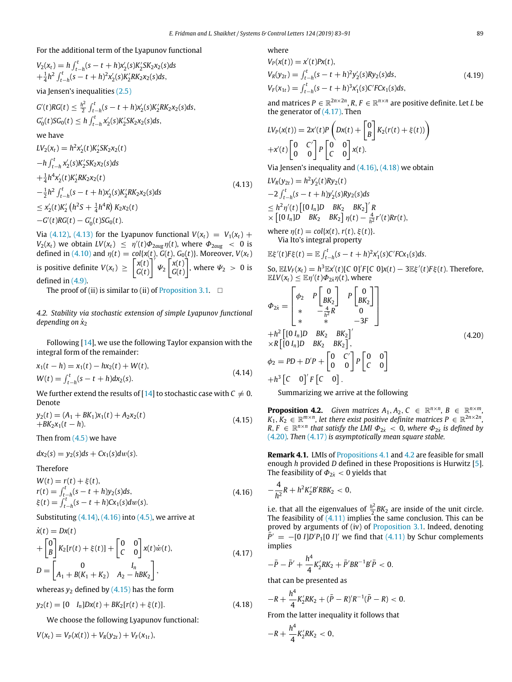# For the additional term of the Lyapunov functional

$$
V_2(x_t) = h \int_{t-h}^t (s-t+h)x_2'(s)K_2'SK_2x_2(s)ds + \frac{1}{4}h^2 \int_{t-h}^t (s-t+h)^2x_2'(s)K_2'KK_2x_2(s)ds,
$$

via Jensen's inequalities [\(2.5\)](#page-2-1)

$$
G'(t)RG(t) \leq \frac{h^2}{2} \int_{t-h}^t (s-t+h)x_2'(s)K_2'RK_2x_2(s)ds,
$$
  

$$
G'_0(t)SG_0(t) \leq h \int_{t-h}^t x_2'(s)K_2'SK_2x_2(s)ds,
$$

we have

$$
LV_2(x_t) = h^2x_2'(t)K_2'SK_2x_2(t)
$$
  
\n
$$
-h \int_{t-h}^{t} x_2'(s)K_2'SK_2x_2(s)ds
$$
  
\n
$$
+ \frac{1}{4}h^4x_2'(t)K_2'RK_2x_2(t)
$$
  
\n
$$
- \frac{1}{2}h^2 \int_{t-h}^{t} (s-t+h)x_2'(s)K_2'RK_2x_2(s)ds
$$
  
\n
$$
\leq x_2'(t)K_2'(h^2s + \frac{1}{4}h^4R)K_2x_2(t)
$$
  
\n
$$
-G'(t)RG(t) - G_0'(t)SG_0(t).
$$
 (4.13)

Via [\(4.12](#page-5-8)), ([4.13](#page-6-0)) for the Lyapunov functional  $V(x_t) = V_1(x_t) +$ *V*<sub>2</sub>( $x_t$ ) we obtain *LV*( $x_t$ )  $\leq \eta'(t)\Phi_{2aug}\eta(t)$ , where  $\Phi_{2aug} < 0$  is defined in ([4.10\)](#page-5-9) and  $\eta(t) = \text{col}\{x(t), G(t), G_0(t)\}$ . Moreover,  $V(x_t)$ is positive definite  $V(x_t) \geq \begin{bmatrix} x(t) \\ C(t) \end{bmatrix}$ *G*(*t*)  $\int' \psi_2 \left[ \frac{x(t)}{C(t)} \right]$ *G*(*t*) ], where  $\Psi_2 > 0$  is defined in [\(4.9\)](#page-5-10).

The proof of (ii) is similar to (ii) of [Proposition](#page-2-11) [3.1.](#page-2-11)  $\Box$ 

*4.2. Stability via stochastic extension of simple Lyapunov functional depending on*  $\dot{x}_2$ 

Following [\[14\]](#page-8-12), we use the following Taylor expansion with the integral form of the remainder:

$$
x_1(t - h) = x_1(t) - hx_2(t) + W(t),
$$
  
\n
$$
W(t) = \int_{t-h}^t (s - t + h) dx_2(s).
$$
\n(4.14)

We further extend the results of [[14](#page-8-12)] to stochastic case with  $C \neq 0$ . Denote

$$
y_2(t) = (A_1 + BK_1)x_1(t) + A_2x_2(t)
$$
  
+
$$
BK_2x_1(t - h).
$$
 (4.15)

Then from  $(4.5)$  we have

 $dx_2(s) = y_2(s)ds + Cx_1(s)dw(s).$ 

Therefore

$$
W(t) = r(t) + \xi(t),
$$
  
\n
$$
r(t) = \int_{t-h}^{t} (s - t + h) y_2(s) ds,
$$
  
\n
$$
\xi(t) = \int_{t-h}^{t} (s - t + h) C x_1(s) dw(s).
$$
\n(4.16)

Substituting  $(4.14)$ ,  $(4.16)$  $(4.16)$  $(4.16)$  into  $(4.5)$  $(4.5)$  $(4.5)$ , we arrive at

$$
\dot{x}(t) = Dx(t) \n+ \begin{bmatrix} 0 \\ B \end{bmatrix} K_2[r(t) + \xi(t)] + \begin{bmatrix} 0 & 0 \\ C & 0 \end{bmatrix} x(t) \dot{w}(t), \nD = \begin{bmatrix} 0 & I_n \\ A_1 + B(K_1 + K_2) & A_2 - h B K_2 \end{bmatrix},
$$
\n(4.17)

whereas  $y_2$  defined by  $(4.15)$  $(4.15)$  has the form

$$
y_2(t) = [0 I_n]Dx(t) + BK_2[r(t) + \xi(t)].
$$
\n(4.18)

We choose the following Lyapunov functional:

$$
V(x_t) = V_P(x(t)) + V_R(y_{2t}) + V_F(x_{1t}),
$$

where

$$
V_P(x(t)) = x'(t)Px(t),
$$
  
\n
$$
V_R(y_{2t}) = \int_{t-h}^t (s-t+h)^2 y_2'(s)Ry_2(s)ds,
$$
  
\n
$$
V_F(x_{1t}) = \int_{t-h}^t (s-t+h)^3 x_1'(s)C' F C x_1(s)ds,
$$
\n(4.19)

and matrices  $P \in \mathbb{R}^{2n \times 2n}$ ,  $R, F \in \mathbb{R}^{n \times n}$  are positive definite. Let *L* be the generator of ([4.17](#page-6-4)). Then

$$
LV_P(x(t)) = 2x'(t)P\left(Dx(t) + \begin{bmatrix} 0 \\ B \end{bmatrix} K_2(r(t) + \xi(t))\right)
$$
  
+x'(t)\begin{bmatrix} 0 & C' \\ 0 & 0 \end{bmatrix} P\begin{bmatrix} 0 & 0 \\ C & 0 \end{bmatrix} x(t).

Via Jensen's inequality and  $(4.16)$  $(4.16)$  $(4.16)$ ,  $(4.18)$  we obtain

<span id="page-6-0"></span>
$$
LV_R(y_{2t}) = h^2 y_2'(t) R y_2(t)
$$
  
-2  $\int_{t-h}^t (s-t+h) y_2'(s) R y_2(s) ds$   
 $\leq h^2 \eta'(t) \left[ [0 I_n] D B K_2 B K_2 \right]' R$   
 $\times \left[ [0 I_n] D B K_2 B K_2 \right] \eta(t) - \frac{4}{h^2} r'(t) R r(t),$ 

where  $\eta(t) = \text{col}\{x(t), r(t), \xi(t)\}.$ Via Ito's integral property

$$
\mathbb{E}\xi'(t)F\xi(t)=\mathbb{E}\int_{t-h}^t(s-t+h)^2x'_1(s)C'FCx_1(s)ds.
$$

So,  $\mathbb{E} L V_F(x_t) = h^3 \mathbb{E} x'(t) [C \ 0]' F [C \ 0] x(t) - 3 \mathbb{E} \xi'(t) F \xi(t)$ . Therefore,  $\mathbb{E}LV(x_t) \leq \mathbb{E}\eta'(t)\Phi_{2x}\eta(t)$ , where

$$
\Phi_{2x} = \begin{bmatrix} \phi_2 & P \begin{bmatrix} 0 \\ BK_2 \end{bmatrix} & P \begin{bmatrix} 0 \\ BK_2 \end{bmatrix} \\ * & -\frac{4}{h^2}R & 0 \\ * & * & -3F \end{bmatrix}
$$
  
+h<sup>2</sup> [(0 I<sub>n</sub>]D BK<sub>2</sub> BK<sub>2</sub>]  
×R [(0 I<sub>n</sub>]D BK<sub>2</sub> BK<sub>2</sub>]  

$$
\phi_2 = PD + D'P + \begin{bmatrix} 0 & C' \\ 0 & 0 \end{bmatrix} P \begin{bmatrix} 0 & 0 \\ C & 0 \end{bmatrix}
$$
  
+h<sup>3</sup> [C 0]<sup>'</sup>F [C 0]. (4.20)

<span id="page-6-7"></span><span id="page-6-6"></span><span id="page-6-1"></span>Summarizing we arrive at the following

<span id="page-6-3"></span>**Proposition 4.2.** *Given matrices*  $A_1, A_2, C \in \mathbb{R}^{n \times n}$ ,  $B \in \mathbb{R}^{n \times m}$ ,  $K_1, K_2 \in \mathbb{R}^{m \times n}$ , let there exist positive definite matrices  $P \in \mathbb{R}^{2n \times 2n}$ ,  $R, F \in \mathbb{R}^{n \times n}$  that satisfy the LMI  $\Phi_{2x} < 0$ , where  $\Phi_{2x}$  is defined by ([4.20\)](#page-6-6)*. Then* ([4.17](#page-6-4)) *is asymptotically mean square stable.*

**Remark 4.1.** LMIs of [Propositions](#page-5-11) [4.1](#page-5-11) and [4.2](#page-6-7) are feasible for small enough *h* provided *D* defined in these Propositions is Hurwitz [[5\]](#page-8-11). The feasibility of  $\Phi_{2k}$  < 0 yields that

<span id="page-6-2"></span>
$$
-\frac{4}{h^2}R + h^2K_2'B'RBK_2 < 0,
$$

i.e. that all the eigenvalues of  $\frac{h^2}{2}$  $\frac{1}{2}BK_2$  are inside of the unit circle. The feasibility of  $(4.11)$  $(4.11)$  $(4.11)$  implies the same conclusion. This can be proved by arguments of (iv) of [Proposition](#page-2-11) [3.1.](#page-2-11) Indeed, denoting  $\overline{P}$ <sup> $\overline{P}$ </sup> = −[0 *I*]*D*'P<sub>1</sub>[0 *I*]' we find that ([4.11\)](#page-5-12) by Schur complements implies

<span id="page-6-4"></span>
$$
-\bar{P} - \bar{P}' + \frac{h^4}{4} K_2' R K_2 + \bar{P}' B R^{-1} B' \bar{P} < 0.
$$

that can be presented as

<span id="page-6-5"></span>
$$
-R+\frac{h^4}{4}K'_2RK_2+(\bar{P}-R')R^{-1}(\bar{P}-R)<0.
$$

From the latter inequality it follows that

$$
-R+\frac{h^4}{4}K'_2RK_2 < 0,
$$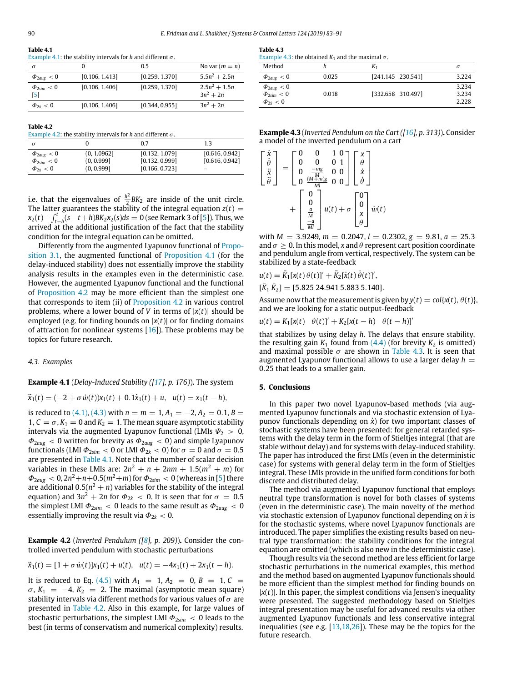<span id="page-7-2"></span>

| 1 avit 7.1 |                                                                     |
|------------|---------------------------------------------------------------------|
|            | Example 4.1: the stability intervals for h and different $\sigma$ . |

| $\sigma$                        |                | 0.5            | No var $(m = n)$               |
|---------------------------------|----------------|----------------|--------------------------------|
| $\Phi_{2aue}$ < 0               | [0.106, 1.413] | [0.259, 1.370] | $5.5n^2 + 2.5n$                |
| $\Phi_{2\text{sim}} < 0$<br>[5] | [0.106, 1.406] | [0.259, 1.370] | $2.5n^2 + 1.5n$<br>$3n^2 + 2n$ |
| $\Phi_{2x} < 0$                 | [0.106, 1.406] | [0.344, 0.955] | $3n^2 + 2n$                    |

| ı aDı<br>ı | ŀ |  |
|------------|---|--|
|            |   |  |

<span id="page-7-3"></span>[Example](#page-7-1) [4.2](#page-7-1): the stability intervals for *h* and different  $\sigma$ .

| $\sigma$                 |             | 0.7            | 1.3            |
|--------------------------|-------------|----------------|----------------|
| $\Phi_{2aug}$ < 0        | (0, 1.0962] | [0.132, 1.079] | [0.616, 0.942] |
| $\Phi_{2\text{sim}} < 0$ | (0, 0.999]  | [0.132, 0.999] | [0.616, 0.942] |
| $\Phi_{2i} < 0$          | (0, 0.999]  | [0.166, 0.723] |                |

i.e. that the eigenvalues of  $\frac{h^2}{2}$  $\frac{1}{2}BK_2$  are inside of the unit circle. The latter guarantees the stability of the integral equation  $z(t) =$ *x*<sub>2</sub>(*t*)−  $\int_{t-h}^{t} (s-t+h) B K_2 x_2(s) ds = 0$  (see Remark 3 of [[5\]](#page-8-11)). Thus, we arrived at the additional justification of the fact that the stability condition for the integral equation can be omitted.

Differently from the augmented Lyapunov functional of [Propo](#page-2-11)[sition](#page-2-11) [3.1](#page-2-11), the augmented functional of [Proposition](#page-5-11) [4.1](#page-5-11) (for the delay-induced stability) does not essentially improve the stability analysis results in the examples even in the deterministic case. However, the augmented Lyapunov functional and the functional of [Proposition](#page-6-7) [4.2](#page-6-7) may be more efficient than the simplest one that corresponds to item (ii) of [Proposition](#page-6-7) [4.2](#page-6-7) in various control problems, where a lower bound of *V* in terms of |*x*(*t*)| should be employed (e.g. for finding bounds on |*x*(*t*)| or for finding domains of attraction for nonlinear systems [[16\]](#page-8-22)). These problems may be topics for future research.

### *4.3. Examples*

## <span id="page-7-0"></span>**Example 4.1** (*Delay-Induced Stability ([[17\]](#page-8-24), p. 176)*)**.** The system

## $\ddot{x}_1(t) = (-2 + \sigma \dot{w}(t))x_1(t) + 0.1\dot{x}_1(t) + u, \quad u(t) = x_1(t - h),$

is reduced to [\(4.1\)](#page-5-13), ([4.3\)](#page-5-3) with  $n = m = 1, A_1 = -2, A_2 = 0.1, B =$ 1,  $C = \sigma$ ,  $K_1 = 0$  and  $K_2 = 1$ . The mean square asymptotic stability intervals via the augmented Lyapunov functional (LMIs  $\Psi_2 > 0$ , Φ2*aug* < 0 written for brevity as Φ2*aug* < 0) and simple Lyapunov functionals (LMI  $\Phi_{2sim} < 0$  or LMI  $\Phi_{2x} < 0$ ) for  $\sigma = 0$  and  $\sigma = 0.5$ are presented in [Table](#page-7-2) [4.1](#page-7-2). Note that the number of scalar decision variables in these LMIs are:  $2n^2 + n + 2nm + 1.5(m^2 + m)$  for  $\varPhi_{\rm 2aug}\,< 0, 2n^2\!+\!n\!+\!0.5(m^2\!+\!m)$  for  $\varPhi_{\rm 2sim}\,< 0$  (whereas in [\[5](#page-8-11)] there are additional 0.5( $n^2 + n$ ) variables for the stability of the integral equation) and 3 $n^2+2n$  for  $\Phi_{2\dot x}\ <\ 0.$  It is seen that for  $\sigma\ =\ 0.5$ the simplest LMI  $\Phi_{2sim}$  < 0 leads to the same result as  $\Phi_{2aug}$  < 0 essentially improving the result via  $\Phi_{2k}$  < 0.

<span id="page-7-1"></span>**Example 4.2** (*Inverted Pendulum ([\[8](#page-8-6)], p. 209)*)**.** Consider the controlled inverted pendulum with stochastic perturbations

$$
\ddot{x}_1(t) = [1 + \sigma \dot{w}(t)]x_1(t) + u(t), \ \ u(t) = -4x_1(t) + 2x_1(t - h).
$$

<span id="page-7-4"></span>It is reduced to Eq. [\(4.5\)](#page-5-4) with  $A_1 = 1, A_2 = 0, B = 1, C =$  $\sigma$ ,  $K_1 = -4$ ,  $K_2 = 2$ . The maximal (asymptotic mean square) stability intervals via different methods for various values of  $\sigma$  are presented in [Table](#page-7-3) [4.2.](#page-7-3) Also in this example, for large values of stochastic perturbations, the simplest LMI  $\Phi_{2sim}$  < 0 leads to the best (in terms of conservatism and numerical complexity) results.

**Table 4.3**

<span id="page-7-5"></span>

| Example 4.3: the obtained $K_1$ and the maximal $\sigma$ . |  |
|------------------------------------------------------------|--|
|------------------------------------------------------------|--|

| Method            |       | K1                     | σ     |
|-------------------|-------|------------------------|-------|
| $\Phi_{2aug} < 0$ | 0.025 | $[241.145 \t 230.541]$ | 3.224 |
| $\Phi_{2aug} < 0$ |       |                        | 3.234 |
| $\Phi_{2sim}$ < 0 | 0.018 | [332,658 310,497]      | 3.234 |
| $\Phi_{2x} < 0$   |       |                        | 2.228 |

| <b>Example 4.3</b> (Inverted Pendulum on the Cart ( $\left[16\right]$ , p. 313)). Consider |  |
|--------------------------------------------------------------------------------------------|--|
| a model of the inverted pendulum on a cart                                                 |  |

|   |  | mg                      | $\bf{0}$      |                |                  |              |
|---|--|-------------------------|---------------|----------------|------------------|--------------|
| ä |  | $\frac{M}{(M+m)g}$      |               | 0 <sub>0</sub> | x<br>À           |              |
|   |  | $\boldsymbol{0}$        |               |                |                  |              |
|   |  | $\frac{0}{\frac{a}{M}}$ | $u(t)+\sigma$ |                | $\boldsymbol{0}$ | $\dot{w}(t)$ |
|   |  |                         |               |                | $\chi$           |              |
|   |  |                         |               |                |                  |              |

with  $M = 3.9249$ ,  $m = 0.2047$ ,  $l = 0.2302$ ,  $g = 9.81$ ,  $a = 25.3$ and  $\sigma > 0$ . In this model, *x* and  $\theta$  represent cart position coordinate and pendulum angle from vertical, respectively. The system can be stabilized by a state-feedback

$$
u(t) = \bar{K}_1[x(t) \,\theta(t)]' + \bar{K}_2[\dot{x}(t) \,\dot{\theta}(t)]',
$$

 $[\bar{K}_1 \bar{K}_2] = [5.825 24.941 5.883 5.140].$ 

Assume now that the measurement is given by  $y(t) = col\{x(t), \theta(t)\},$ and we are looking for a static output-feedback

 $u(t) = K_1[x(t) \quad \theta(t)]' + K_2[x(t-h) \quad \theta(t-h)]'$ 

that stabilizes by using delay *h*. The delays that ensure stability, the resulting gain  $K_1$  found from  $(4.4)$  (for brevity  $K_2$  is omitted) and maximal possible  $\sigma$  are shown in [Table](#page-7-5) [4.3](#page-7-5). It is seen that augmented Lyapunov functional allows to use a larger delay  $h =$ 0.25 that leads to a smaller gain.

#### **5. Conclusions**

In this paper two novel Lyapunov-based methods (via augmented Lyapunov functionals and via stochastic extension of Lyapunov functionals depending on  $\dot{x}$ ) for two important classes of stochastic systems have been presented: for general retarded systems with the delay term in the form of Stieltjes integral (that are stable without delay) and for systems with delay-induced stability. The paper has introduced the first LMIs (even in the deterministic case) for systems with general delay term in the form of Stieltjes integral. These LMIs provide in the unified form conditions for both discrete and distributed delay.

The method via augmented Lyapunov functional that employs neutral type transformation is novel for both classes of systems (even in the deterministic case). The main novelty of the method via stochastic extension of Lyapunov functional depending on *x*˙ is for the stochastic systems, where novel Lyapunov functionals are introduced. The paper simplifies the existing results based on neutral type transformation: the stability conditions for the integral equation are omitted (which is also new in the deterministic case).

Though results via the second method are less efficient for large stochastic perturbations in the numerical examples, this method and the method based on augmented Lyapunov functionals should be more efficient than the simplest method for finding bounds on  $|x(t)|$ . In this paper, the simplest conditions via Jensen's inequality were presented. The suggested methodology based on Stieltjes integral presentation may be useful for advanced results via other augmented Lyapunov functionals and less conservative integral inequalities (see e.g. [[13](#page-8-10)[,18](#page-8-15)[,26\]](#page-8-25)). These may be the topics for the future research.

**Table 4.1**